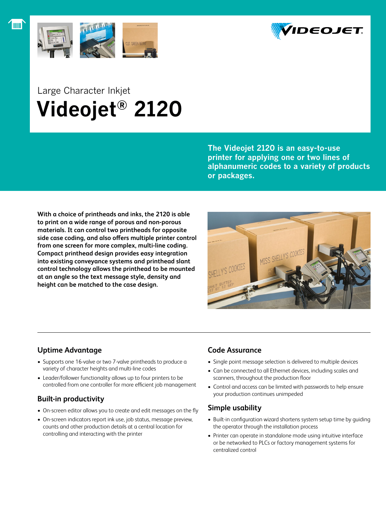



## Large Character Inkjet  **Videojet® 2120**

**The Videojet 2120 is an easy-to-use printer for applying one or two lines of alphanumeric codes to a variety of products or packages.** 

**With a choice of printheads and inks, the 2120 is able to print on a wide range of porous and non-porous materials. It can control two printheads for opposite side case coding, and also offers multiple printer control from one screen for more complex, multi-line coding. Compact printhead design provides easy integration into existing conveyance systems and printhead slant control technology allows the printhead to be mounted at an angle so the text message style, density and height can be matched to the case design.**



## **Uptime Advantage**

- Supports one 16-valve or two 7-valve printheads to produce a variety of character heights and multi-line codes
- Leader/follower functionality allows up to four printers to be controlled from one controller for more efficient job management

## **Built-in productivity**

- On-screen editor allows you to create and edit messages on the fly
- On-screen indicators report ink use, job status, message preview, counts and other production details at a central location for controlling and interacting with the printer

## **Code Assurance**

- Single point message selection is delivered to multiple devices
- Can be connected to all Ethernet devices, including scales and scanners, throughout the production floor
- • Control and access can be limited with passwords to help ensure your production continues unimpeded

## **Simple usability**

- Built-in configuration wizard shortens system setup time by guiding the operator through the installation process
- Printer can operate in standalone mode using intuitive interface or be networked to PLCs or factory management systems for centralized control